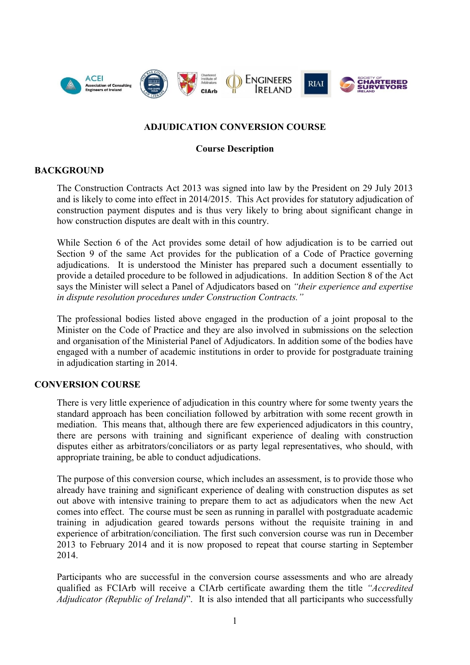

# **ADJUDICATION CONVERSION COURSE**

### **Course Description**

#### **BACKGROUND**

The Construction Contracts Act 2013 was signed into law by the President on 29 July 2013 and is likely to come into effect in 2014/2015. This Act provides for statutory adjudication of construction payment disputes and is thus very likely to bring about significant change in how construction disputes are dealt with in this country.

While Section 6 of the Act provides some detail of how adjudication is to be carried out Section 9 of the same Act provides for the publication of a Code of Practice governing adjudications. It is understood the Minister has prepared such a document essentially to provide a detailed procedure to be followed in adjudications. In addition Section 8 of the Act says the Minister will select a Panel of Adjudicators based on *"their experience and expertise in dispute resolution procedures under Construction Contracts."*

The professional bodies listed above engaged in the production of a joint proposal to the Minister on the Code of Practice and they are also involved in submissions on the selection and organisation of the Ministerial Panel of Adjudicators. In addition some of the bodies have engaged with a number of academic institutions in order to provide for postgraduate training in adjudication starting in 2014.

### **CONVERSION COURSE**

There is very little experience of adjudication in this country where for some twenty years the standard approach has been conciliation followed by arbitration with some recent growth in mediation. This means that, although there are few experienced adjudicators in this country, there are persons with training and significant experience of dealing with construction disputes either as arbitrators/conciliators or as party legal representatives, who should, with appropriate training, be able to conduct adjudications.

The purpose of this conversion course, which includes an assessment, is to provide those who already have training and significant experience of dealing with construction disputes as set out above with intensive training to prepare them to act as adjudicators when the new Act comes into effect. The course must be seen as running in parallel with postgraduate academic training in adjudication geared towards persons without the requisite training in and experience of arbitration/conciliation. The first such conversion course was run in December 2013 to February 2014 and it is now proposed to repeat that course starting in September 2014.

Participants who are successful in the conversion course assessments and who are already qualified as FCIArb will receive a CIArb certificate awarding them the title *"Accredited Adjudicator (Republic of Ireland)*". It is also intended that all participants who successfully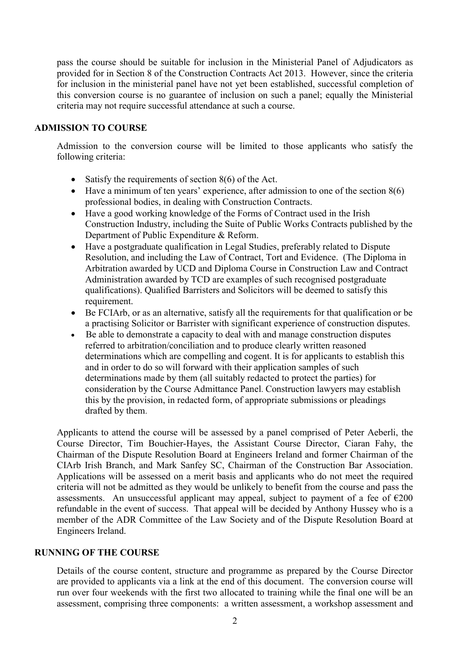pass the course should be suitable for inclusion in the Ministerial Panel of Adjudicators as provided for in Section 8 of the Construction Contracts Act 2013. However, since the criteria for inclusion in the ministerial panel have not yet been established, successful completion of this conversion course is no guarantee of inclusion on such a panel; equally the Ministerial criteria may not require successful attendance at such a course.

#### **ADMISSION TO COURSE**

Admission to the conversion course will be limited to those applicants who satisfy the following criteria:

- Satisfy the requirements of section  $8(6)$  of the Act.
- $\bullet$  Have a minimum of ten years' experience, after admission to one of the section 8(6) professional bodies, in dealing with Construction Contracts.
- Have a good working knowledge of the Forms of Contract used in the Irish Construction Industry, including the Suite of Public Works Contracts published by the Department of Public Expenditure & Reform.
- Have a postgraduate qualification in Legal Studies, preferably related to Dispute Resolution, and including the Law of Contract, Tort and Evidence. (The Diploma in Arbitration awarded by UCD and Diploma Course in Construction Law and Contract Administration awarded by TCD are examples of such recognised postgraduate qualifications). Qualified Barristers and Solicitors will be deemed to satisfy this requirement.
- Be FCIArb, or as an alternative, satisfy all the requirements for that qualification or be a practising Solicitor or Barrister with significant experience of construction disputes.
- Be able to demonstrate a capacity to deal with and manage construction disputes referred to arbitration/conciliation and to produce clearly written reasoned determinations which are compelling and cogent. It is for applicants to establish this and in order to do so will forward with their application samples of such determinations made by them (all suitably redacted to protect the parties) for consideration by the Course Admittance Panel. Construction lawyers may establish this by the provision, in redacted form, of appropriate submissions or pleadings drafted by them.

Applicants to attend the course will be assessed by a panel comprised of Peter Aeberli, the Course Director, Tim Bouchier-Hayes, the Assistant Course Director, Ciaran Fahy, the Chairman of the Dispute Resolution Board at Engineers Ireland and former Chairman of the CIArb Irish Branch, and Mark Sanfey SC, Chairman of the Construction Bar Association. Applications will be assessed on a merit basis and applicants who do not meet the required criteria will not be admitted as they would be unlikely to benefit from the course and pass the assessments. An unsuccessful applicant may appeal, subject to payment of a fee of  $\epsilon$ 200 refundable in the event of success. That appeal will be decided by Anthony Hussey who is a member of the ADR Committee of the Law Society and of the Dispute Resolution Board at Engineers Ireland.

#### **RUNNING OF THE COURSE**

Details of the course content, structure and programme as prepared by the Course Director are provided to applicants via a link at the end of this document. The conversion course will run over four weekends with the first two allocated to training while the final one will be an assessment, comprising three components: a written assessment, a workshop assessment and